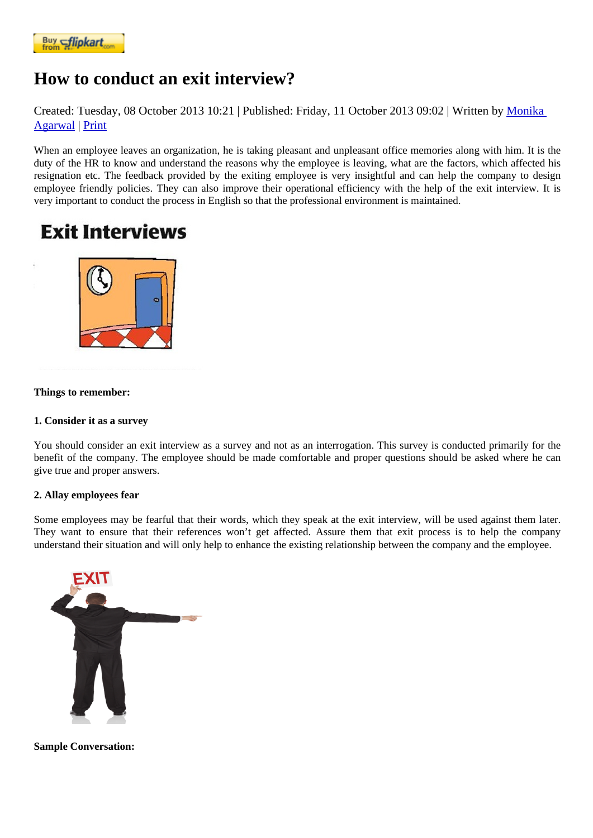## [How to cond](https://www.flipkart.com/spoken-english-3rd/p/itmezunpyjy5xcc7?pid=9789339221461&affid=kaminiraw)uct an exit interview?

Created: Tuesday, 08 October 2013 10: 201blished: Friday, 11 October 2013 09: 02 ritten by Monika Agarwal | Print

When an employee leaves an organization, he is taking pleasant and unpleasant office memories along with him. It is th duty of the HR to know and understand the reasons why the employee is leaving, what are the fac[tors, whic](https://english.eagetutor.com/contact)h affected hi [resignatio](https://english.eagetutor.com/contact)n etc. The feedback provided by the exiting employee is very insightful and can help the company to design employee friendly policies. They can also improve their operational efficiency with the help of the exit interview. It is very important to conduct the process in English so that the professional environment is maintained.

Things to remember:

## 1. Consider it as a survey

You should consider an exit interview as a survey and not as an interrogation. This survey is conducted primarily for the benefit of the company. The employee should be made comfortable and proper questions should be asked where he c give true and proper answers.

## 2. Allay employees fear

Some employees may be fearful that their words, which they speak at the exit interview, will be used against them later They want to ensure that their references won't get affected. Assure them that exit process is to help the company understand their situation and will only help to enhance the existing relationship between the company and the employee.

Sample Conversation: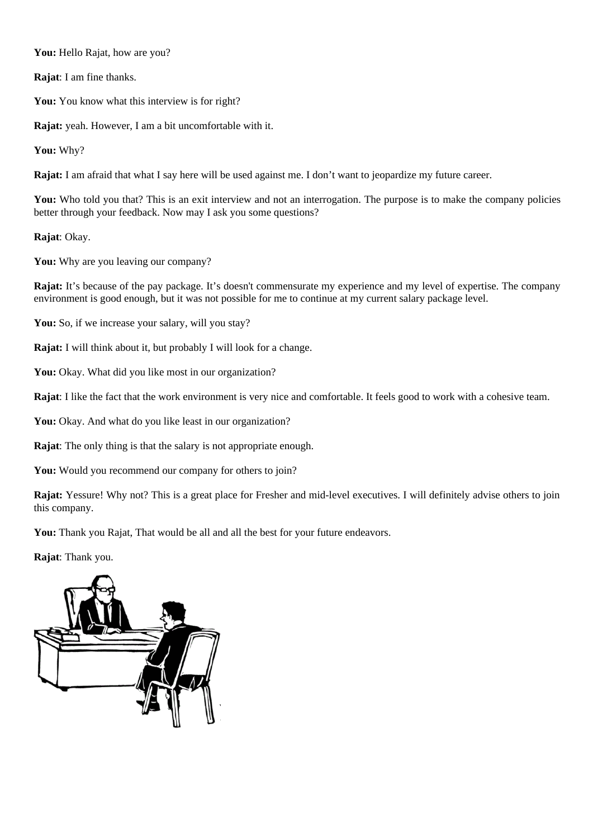**You:** Hello Rajat, how are you?

**Rajat**: I am fine thanks.

You: You know what this interview is for right?

**Rajat:** yeah. However, I am a bit uncomfortable with it.

**You:** Why?

**Rajat:** I am afraid that what I say here will be used against me. I don't want to jeopardize my future career.

You: Who told you that? This is an exit interview and not an interrogation. The purpose is to make the company policies better through your feedback. Now may I ask you some questions?

**Rajat**: Okay.

You: Why are you leaving our company?

**Rajat:** It's because of the pay package. It's doesn't commensurate my experience and my level of expertise. The company environment is good enough, but it was not possible for me to continue at my current salary package level.

You: So, if we increase your salary, will you stay?

**Rajat:** I will think about it, but probably I will look for a change.

You: Okay. What did you like most in our organization?

**Rajat**: I like the fact that the work environment is very nice and comfortable. It feels good to work with a cohesive team.

**You:** Okay. And what do you like least in our organization?

**Rajat**: The only thing is that the salary is not appropriate enough.

You: Would you recommend our company for others to join?

**Rajat:** Yessure! Why not? This is a great place for Fresher and mid-level executives. I will definitely advise others to join this company.

**You:** Thank you Rajat, That would be all and all the best for your future endeavors.

**Rajat**: Thank you.